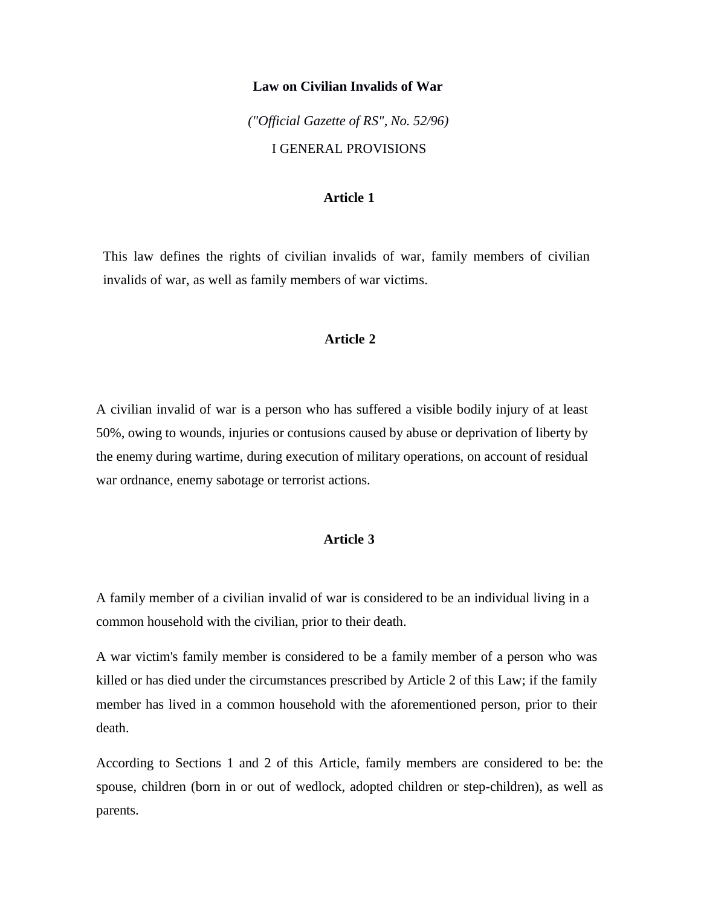#### **Law on Civilian Invalids of War**

*("Official Gazette of RS", No. 52/96)* I GENERAL PROVISIONS

## **Article 1**

This law defines the rights of civilian invalids of war, family members of civilian invalids of war, as well as family members of war victims.

## **Article 2**

A civilian invalid of war is a person who has suffered a visible bodily injury of at least 50%, owing to wounds, injuries or contusions caused by abuse or deprivation of liberty by the enemy during wartime, during execution of military operations, on account of residual war ordnance, enemy sabotage or terrorist actions.

# **Article 3**

A family member of a civilian invalid of war is considered to be an individual living in a common household with the civilian, prior to their death.

A war victim's family member is considered to be a family member of a person who was killed or has died under the circumstances prescribed by Article 2 of this Law; if the family member has lived in a common household with the aforementioned person, prior to their death.

According to Sections 1 and 2 of this Article, family members are considered to be: the spouse, children (born in or out of wedlock, adopted children or step-children), as well as parents.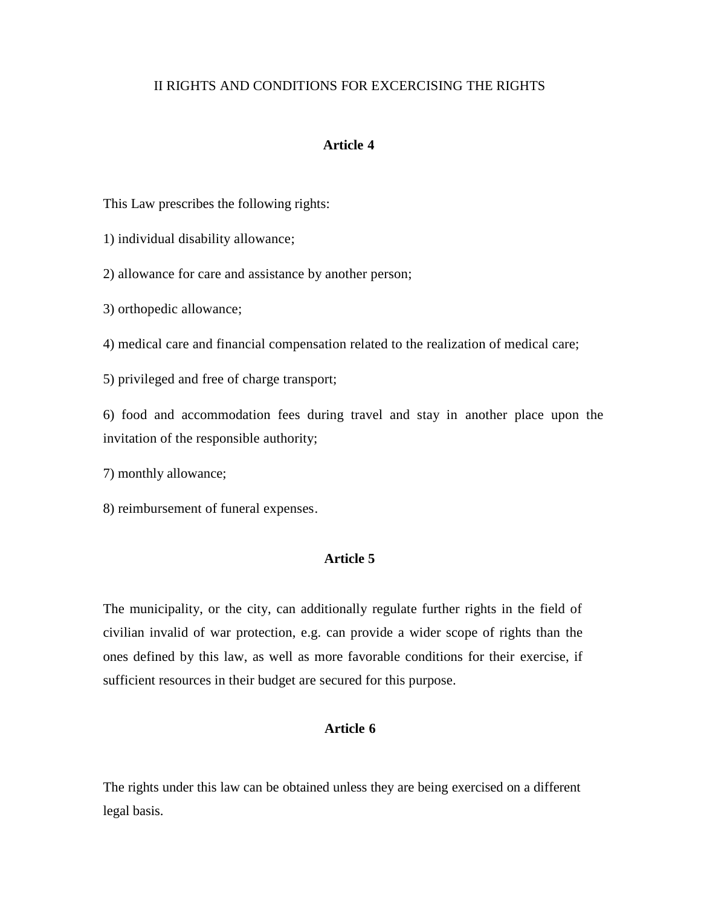# II RIGHTS AND CONDITIONS FOR EXCERCISING THE RIGHTS

## **Article 4**

This Law prescribes the following rights:

1) individual disability allowance;

2) allowance for care and assistance by another person;

3) orthopedic allowance;

4) medical care and financial compensation related to the realization of medical care;

5) privileged and free of charge transport;

6) food and accommodation fees during travel and stay in another place upon the invitation of the responsible authority;

7) monthly allowance;

8) reimbursement of funeral expenses.

## **Article 5**

The municipality, or the city, can additionally regulate further rights in the field of civilian invalid of war protection, e.g. can provide a wider scope of rights than the ones defined by this law, as well as more favorable conditions for their exercise, if sufficient resources in their budget are secured for this purpose.

## **Article 6**

The rights under this law can be obtained unless they are being exercised on a different legal basis.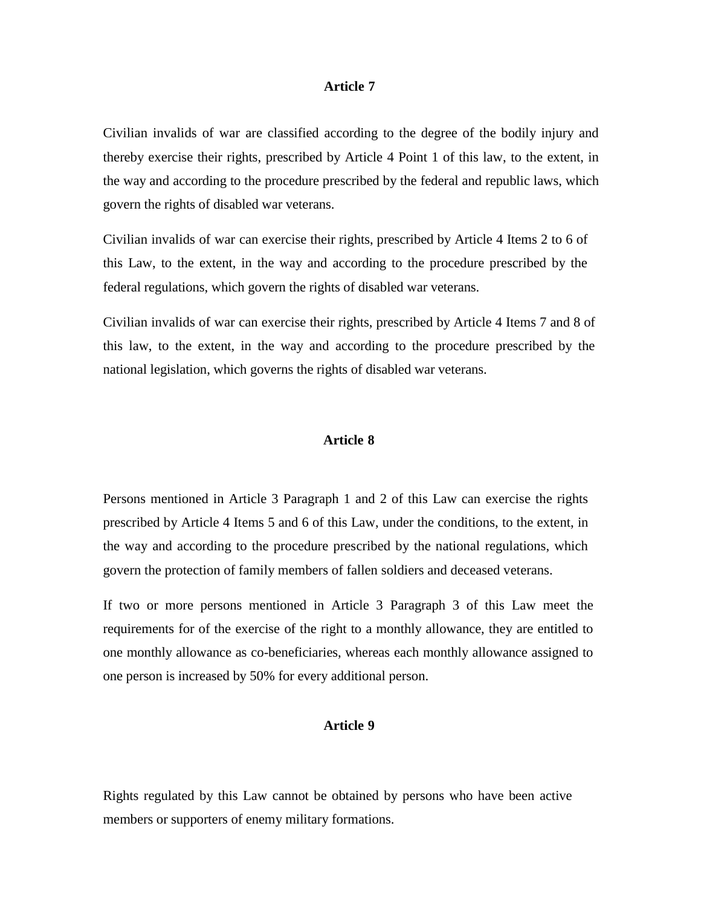#### **Article 7**

Civilian invalids of war are classified according to the degree of the bodily injury and thereby exercise their rights, prescribed by Article 4 Point 1 of this law, to the extent, in the way and according to the procedure prescribed by the federal and republic laws, which govern the rights of disabled war veterans.

Civilian invalids of war can exercise their rights, prescribed by Article 4 Items 2 to 6 of this Law, to the extent, in the way and according to the procedure prescribed by the federal regulations, which govern the rights of disabled war veterans.

Civilian invalids of war can exercise their rights, prescribed by Article 4 Items 7 and 8 of this law, to the extent, in the way and according to the procedure prescribed by the national legislation, which governs the rights of disabled war veterans.

### **Article 8**

Persons mentioned in Article 3 Paragraph 1 and 2 of this Law can exercise the rights prescribed by Article 4 Items 5 and 6 of this Law, under the conditions, to the extent, in the way and according to the procedure prescribed by the national regulations, which govern the protection of family members of fallen soldiers and deceased veterans.

If two or more persons mentioned in Article 3 Paragraph 3 of this Law meet the requirements for of the exercise of the right to a monthly allowance, they are entitled to one monthly allowance as co-beneficiaries, whereas each monthly allowance assigned to one person is increased by 50% for every additional person.

#### **Article 9**

Rights regulated by this Law cannot be obtained by persons who have been active members or supporters of enemy military formations.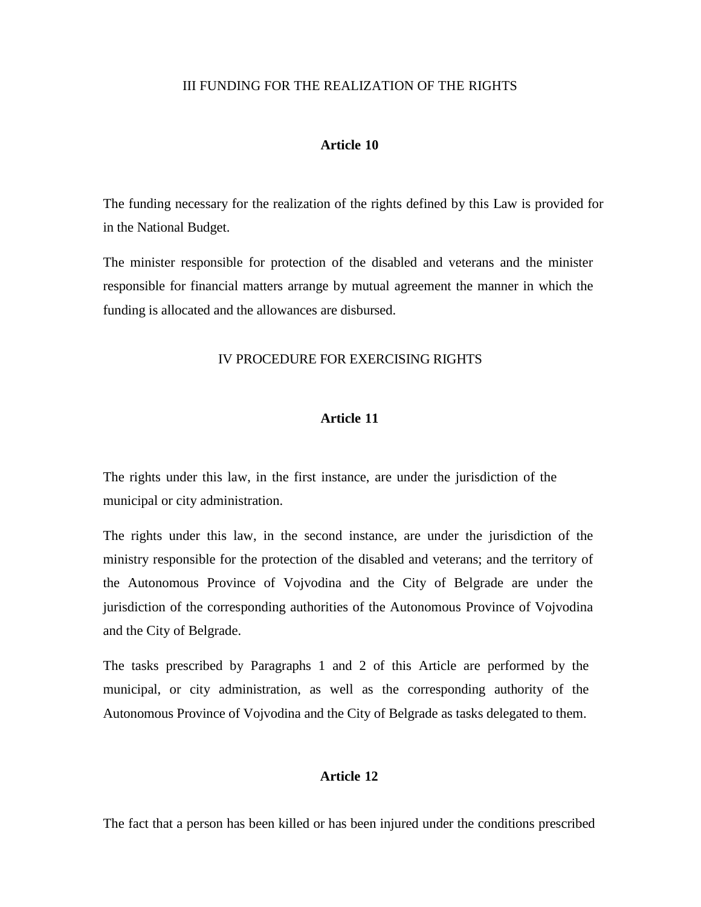### III FUNDING FOR THE REALIZATION OF THE RIGHTS

### **Article 10**

The funding necessary for the realization of the rights defined by this Law is provided for in the National Budget.

The minister responsible for protection of the disabled and veterans and the minister responsible for financial matters arrange by mutual agreement the manner in which the funding is allocated and the allowances are disbursed.

# IV PROCEDURE FOR EXERCISING RIGHTS

### **Article 11**

The rights under this law, in the first instance, are under the jurisdiction of the municipal or city administration.

The rights under this law, in the second instance, are under the jurisdiction of the ministry responsible for the protection of the disabled and veterans; and the territory of the Autonomous Province of Vojvodina and the City of Belgrade are under the jurisdiction of the corresponding authorities of the Autonomous Province of Vojvodina and the City of Belgrade.

The tasks prescribed by Paragraphs 1 and 2 of this Article are performed by the municipal, or city administration, as well as the corresponding authority of the Autonomous Province of Vojvodina and the City of Belgrade as tasks delegated to them.

# **Article 12**

The fact that a person has been killed or has been injured under the conditions prescribed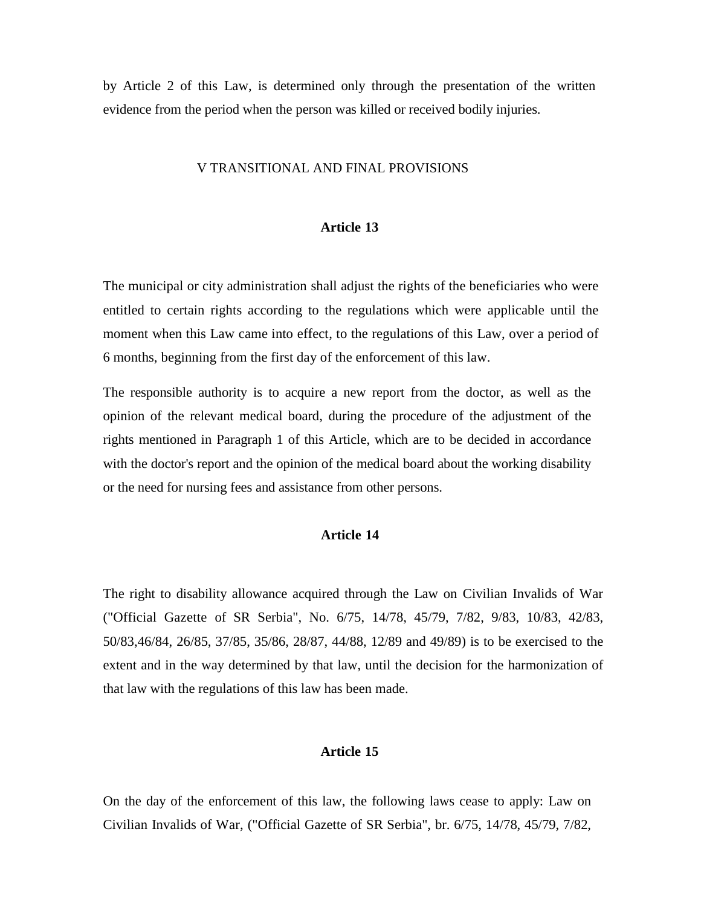by Article 2 of this Law, is determined only through the presentation of the written evidence from the period when the person was killed or received bodily injuries.

#### V TRANSITIONAL AND FINAL PROVISIONS

### **Article 13**

The municipal or city administration shall adjust the rights of the beneficiaries who were entitled to certain rights according to the regulations which were applicable until the moment when this Law came into effect, to the regulations of this Law, over a period of 6 months, beginning from the first day of the enforcement of this law.

The responsible authority is to acquire a new report from the doctor, as well as the opinion of the relevant medical board, during the procedure of the adjustment of the rights mentioned in Paragraph 1 of this Article, which are to be decided in accordance with the doctor's report and the opinion of the medical board about the working disability or the need for nursing fees and assistance from other persons.

# **Article 14**

The right to disability allowance acquired through the Law on Civilian Invalids of War ("Official Gazette of SR Serbia", No. 6/75, 14/78, 45/79, 7/82, 9/83, 10/83, 42/83, 50/83,46/84, 26/85, 37/85, 35/86, 28/87, 44/88, 12/89 and 49/89) is to be exercised to the extent and in the way determined by that law, until the decision for the harmonization of that law with the regulations of this law has been made.

# **Article 15**

On the day of the enforcement of this law, the following laws cease to apply: Law on Civilian Invalids of War, ("Official Gazette of SR Serbia", br. 6/75, 14/78, 45/79, 7/82,